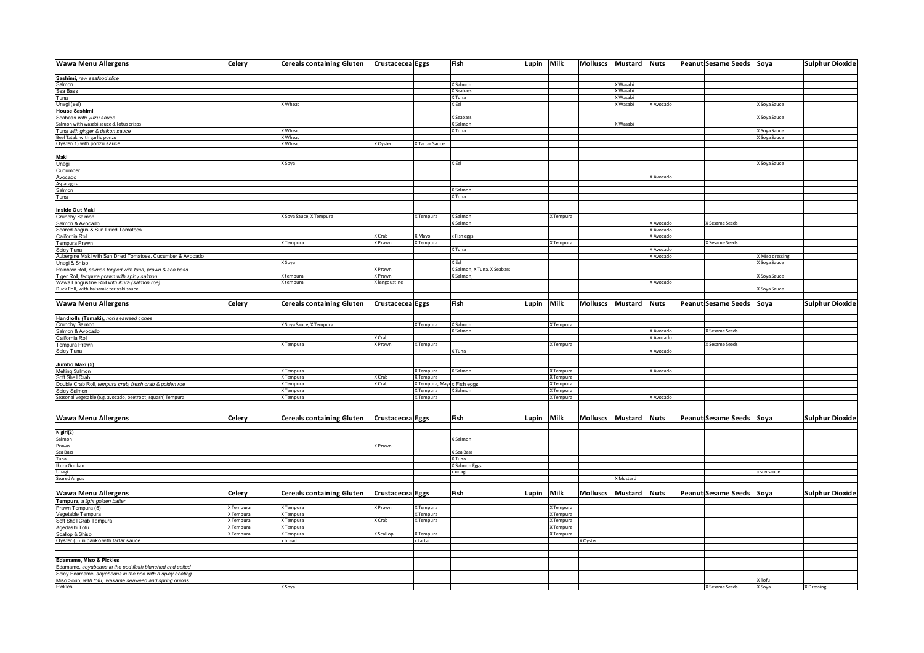| <b>Wawa Menu Allergens</b>                                                  | Celery        | Cereals containing Gluten   Crustaceceal Eggs |                          |                            | Fish                        | Lupin Milk |           | Molluscs Mustard Nuts |                     |             | Peanut Sesame Seeds Soya |                 | <b>Sulphur Dioxide</b> |
|-----------------------------------------------------------------------------|---------------|-----------------------------------------------|--------------------------|----------------------------|-----------------------------|------------|-----------|-----------------------|---------------------|-------------|--------------------------|-----------------|------------------------|
| Sashimi, raw seafood slice                                                  |               |                                               |                          |                            |                             |            |           |                       |                     |             |                          |                 |                        |
| Salmon                                                                      |               |                                               |                          |                            | X Salmon                    |            |           |                       | X Wasabi            |             |                          |                 |                        |
| Sea Bass                                                                    |               |                                               |                          |                            | X Seabass                   |            |           |                       | X Wasabi            |             |                          |                 |                        |
| Tuna                                                                        |               |                                               |                          |                            | X Tuna                      |            |           |                       | X Wasabi            |             |                          |                 |                        |
| Unagi (eel)                                                                 |               | X Wheat                                       |                          |                            | X Fel                       |            |           |                       | X Wasabi            | X Avocado   |                          | X Soya Sauce    |                        |
| <b>House Sashimi</b>                                                        |               |                                               |                          |                            |                             |            |           |                       |                     |             |                          |                 |                        |
| Seabass with yuzu sauce<br>Salmon with wasabi sauce & lotus crisps          |               |                                               |                          |                            | X Seabass                   |            |           |                       |                     |             |                          | X Soya Sauce    |                        |
|                                                                             |               |                                               |                          |                            | X Salmon                    |            |           |                       | X Wasabi            |             |                          |                 |                        |
| Tuna with ginger & daikon sauce                                             |               | X Wheat                                       |                          |                            | X Tuna                      |            |           |                       |                     |             |                          | X Soya Sauce    |                        |
| Beef Tataki with garlic ponzu                                               |               | X Wheat                                       |                          |                            |                             |            |           |                       |                     |             |                          | X Soya Sauce    |                        |
| Oyster(1) with ponzu sauce                                                  |               | X Wheat                                       | X Oyster                 | X Tartar Sauce             |                             |            |           |                       |                     |             |                          |                 |                        |
| Maki                                                                        |               |                                               |                          |                            |                             |            |           |                       |                     |             |                          |                 |                        |
|                                                                             |               | X Soya                                        |                          |                            | X Eel                       |            |           |                       |                     |             |                          | X Soya Sauce    |                        |
| Unagi<br>Cucumber                                                           |               |                                               |                          |                            |                             |            |           |                       |                     |             |                          |                 |                        |
| Avocado                                                                     |               |                                               |                          |                            |                             |            |           |                       |                     | X Avocado   |                          |                 |                        |
| Asparagus                                                                   |               |                                               |                          |                            |                             |            |           |                       |                     |             |                          |                 |                        |
| Salmon                                                                      |               |                                               |                          |                            | X Salmon                    |            |           |                       |                     |             |                          |                 |                        |
| Tuna                                                                        |               |                                               |                          |                            | X Tuna                      |            |           |                       |                     |             |                          |                 |                        |
|                                                                             |               |                                               |                          |                            |                             |            |           |                       |                     |             |                          |                 |                        |
| Inside Out Maki                                                             |               |                                               |                          |                            |                             |            |           |                       |                     |             |                          |                 |                        |
| Crunchy Salmon                                                              |               | X Soya Sauce, X Tempura                       |                          | X Tempura                  | X Salmon                    |            | X Tempura |                       |                     |             |                          |                 |                        |
| Salmon & Avocado                                                            |               |                                               |                          |                            | X Salmon                    |            |           |                       |                     | X Avocado   | X Sesame Seeds           |                 |                        |
| Seared Angus & Sun Dried Tomatoes<br>California Roll                        |               |                                               |                          |                            |                             |            |           |                       |                     | X Avocado   |                          |                 |                        |
|                                                                             |               |                                               | X Crab<br>X Prawn        | X Mayo                     | x Fish eggs                 |            |           |                       |                     | X Avocado   |                          |                 |                        |
| Tempura Prawn                                                               |               | X Tempura                                     |                          | X Tempura                  | X Tuna                      |            | X Tempura |                       |                     | X Avocado   | X Sesame Seeds           |                 |                        |
| Spicy Tuna<br>Aubergine Maki with Sun Dried Tomatoes, Cucumber & Avocado    |               |                                               |                          |                            |                             |            |           |                       |                     | X Avocado   |                          | X Miso dressing |                        |
| Unagi & Shiso                                                               |               | X Soya                                        |                          |                            | X Eel                       |            |           |                       |                     |             |                          | X Soya Sauce    |                        |
| Rainbow Roll, salmon topped with tuna, prawn & sea bass                     |               |                                               | X Prawn                  |                            | X Salmon, X Tuna, X Seabass |            |           |                       |                     |             |                          |                 |                        |
| Tiger Roll, tempura prawn with spicy salmon                                 |               | X tempura                                     | X Prawn                  |                            | X Salmon,                   |            |           |                       |                     |             |                          | X Soya Sauce    |                        |
| Wawa Langustine Roll with ikura (salmon roe)                                |               | X tempura                                     | X langoustine            |                            |                             |            |           |                       |                     | X Avocado   |                          |                 |                        |
| Duck Roll, with balsamic teriyaki sauce                                     |               |                                               |                          |                            |                             |            |           |                       |                     |             |                          | X Soya Sauce    |                        |
|                                                                             |               |                                               |                          |                            |                             |            |           |                       |                     |             |                          |                 |                        |
| <b>Wawa Menu Allergens</b>                                                  | Celery        | <b>Cereals containing Gluten</b>              | <b>Crustaceceal Eggs</b> |                            | Fish                        | Lupin Milk |           | Molluscs Mustard      |                     | <b>Nuts</b> | Peanut Sesame Seeds Soya |                 | Sulphur Dioxide        |
|                                                                             |               |                                               |                          |                            |                             |            |           |                       |                     |             |                          |                 |                        |
| Handrolls (Temaki), nori seaweed cones                                      |               |                                               |                          |                            |                             |            |           |                       |                     |             |                          |                 |                        |
| Crunchy Salmon                                                              |               | X Soya Sauce, X Tempura                       |                          | K Tempura                  | X Salmon                    |            | X Tempura |                       |                     |             |                          |                 |                        |
| Salmon & Avocado<br>California Roll                                         |               |                                               |                          |                            | X Salmon                    |            |           |                       |                     | X Avocado   | X Sesame Seeds           |                 |                        |
|                                                                             |               |                                               | X Crab                   |                            |                             |            |           |                       |                     | X Avocado   |                          |                 |                        |
| Tempura Prawn                                                               |               | X Tempura                                     | X Prawn                  | X Tempura                  |                             |            | X Tempura |                       |                     |             | X Sesame Seeds           |                 |                        |
| Spicy Tuna                                                                  |               |                                               |                          |                            | X Tuna                      |            |           |                       |                     | X Avocado   |                          |                 |                        |
|                                                                             |               |                                               |                          |                            |                             |            |           |                       |                     |             |                          |                 |                        |
| Jumbo Maki (5)                                                              |               | X Tempura                                     |                          | K Tempura                  | X Salmon                    |            | X Tempura |                       |                     | X Avocado   |                          |                 |                        |
| <b>Melting Salmon</b>                                                       |               | X Tempura                                     | X Crab                   | Tempura                    |                             |            | X Tempura |                       |                     |             |                          |                 |                        |
| Soft Shell Crab<br>Double Crab Roll, tempura crab, fresh crab & golden roe  |               | X Tempura                                     | X Crab                   | X Tempura, Mayox Fish eggs |                             |            | X Tempura |                       |                     |             |                          |                 |                        |
|                                                                             |               | X Tempura                                     |                          | X Tempura                  | X Salmon                    |            | X Tempura |                       |                     |             |                          |                 |                        |
| Spicy Salmon<br>Seasonal Vegetable (e.g. avocado, beetroot, squash) Tempura |               | X Tempura                                     |                          | X Tempura                  |                             |            | X Tempura |                       |                     | X Avocado   |                          |                 |                        |
|                                                                             |               |                                               |                          |                            |                             |            |           |                       |                     |             |                          |                 |                        |
|                                                                             |               |                                               |                          |                            |                             |            |           |                       |                     |             |                          |                 |                        |
| <b>Wawa Menu Allergens</b>                                                  | <b>Celery</b> | <b>Cereals containing Gluten</b>              | <b>Crustaceceal Eggs</b> |                            | Fish                        | Lupin Milk |           | Molluscs              | Mustard             | <b>Nuts</b> | Peanut Sesame Seeds Soya |                 | Sulphur Dioxide        |
|                                                                             |               |                                               |                          |                            |                             |            |           |                       |                     |             |                          |                 |                        |
| Nigiri(2)                                                                   |               |                                               |                          |                            |                             |            |           |                       |                     |             |                          |                 |                        |
| Salmon                                                                      |               |                                               |                          |                            | X Salmon                    |            |           |                       |                     |             |                          |                 |                        |
| Prawn                                                                       |               |                                               | X Prawn                  |                            |                             |            |           |                       |                     |             |                          |                 |                        |
| Sea Bass                                                                    |               |                                               |                          |                            | <b>X Sea Bass</b>           |            |           |                       |                     |             |                          |                 |                        |
| Tuna                                                                        |               |                                               |                          |                            | X Tuna                      |            |           |                       |                     |             |                          |                 |                        |
| Ikura Gunkan                                                                |               |                                               |                          |                            | X Salmon Eggs               |            |           |                       |                     |             |                          |                 |                        |
| Unagi                                                                       |               |                                               |                          |                            | x unagi                     |            |           |                       |                     |             |                          | x soy sauce     |                        |
| Seared Angus                                                                |               |                                               |                          |                            |                             |            |           |                       | X Mustard           |             |                          |                 |                        |
|                                                                             |               |                                               |                          |                            |                             |            |           |                       |                     |             |                          |                 |                        |
| <b>Wawa Menu Allergens</b>                                                  | Celery        | <b>Cereals containing Gluten</b>              | <b>Crustaceceal Eggs</b> |                            | Fish                        | Lupin Milk |           | <b>Molluscs</b>       | <b>Mustard Nuts</b> |             | Peanut Sesame Seeds Soya |                 | Sulphur Dioxide        |
| Tempura, a light golden batter                                              |               |                                               |                          |                            |                             |            |           |                       |                     |             |                          |                 |                        |
| Prawn Tempura (5)                                                           | X Tempura     | X Tempura                                     | X Prawn                  | K Tempura                  |                             |            | X Tempura |                       |                     |             |                          |                 |                        |
| Vegetable Tempura                                                           | X Tempura     | X Tempura                                     |                          | X Tempura                  |                             |            | X Tempura |                       |                     |             |                          |                 |                        |
| Soft Shell Crab Tempura                                                     | X Tempura     | X Tempura                                     | X Crab                   | X Tempura                  |                             |            | X Tempura |                       |                     |             |                          |                 |                        |
| Agedashi Tofu                                                               | X Tempura     | X Tempura                                     |                          |                            |                             |            | X Tempura |                       |                     |             |                          |                 |                        |
| Scallop & Shiso                                                             | X Tempura     | X Tempura<br>x bread                          | X Scallop                | K Tempura<br>x tartar      |                             |            | X Tempura | X Oyster              |                     |             |                          |                 |                        |
| Oyster (5) in panko with tartar sauce                                       |               |                                               |                          |                            |                             |            |           |                       |                     |             |                          |                 |                        |
|                                                                             |               |                                               |                          |                            |                             |            |           |                       |                     |             |                          |                 |                        |
| Edamame, Miso & Pickles                                                     |               |                                               |                          |                            |                             |            |           |                       |                     |             |                          |                 |                        |
| Edamame, soyabeans in the pod flash blanched and salted                     |               |                                               |                          |                            |                             |            |           |                       |                     |             |                          |                 |                        |
| Spicy Edamame, soyabeans in the pod with a spicy coating                    |               |                                               |                          |                            |                             |            |           |                       |                     |             |                          |                 |                        |
| Miso Soup, with tofu, wakame seaweed and spring onions<br>Pickles           |               |                                               |                          |                            |                             |            |           |                       |                     |             |                          | X Tofu          |                        |
|                                                                             |               | X Soya                                        |                          |                            |                             |            |           |                       |                     |             | X Sesame Seeds           | X Soya          | X Dressing             |